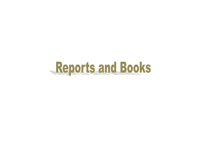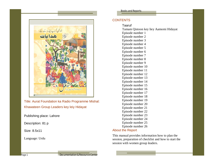

Title: Aurat Foundation ka Radio Programme Mishal: Khawateen Group Leaders key leiy Hidayat

Publishing place: Lahore

Description: 81 p

Size: 8.5x11

Language: Urdu

## **CONTENTS**

Taaruf

Tamam Qistoon key liey Aamomi Hidayat Episode number 1 Episode number 2 Episode number 3 Episode number 4 Episode number 5 Episode number 6 Episode number 7 Episode number 8 Episode number 9 Episode number 10 Episode number 11 Episode number 12 Episode number 13 Episode number 14 Episode number 15 Episode number 16 Episode number 17 Episode number 18 Episode number 19 Episode number 20 Episode number 21 Episode number 22 Episode number 23 Episode number 24 Episode number 25 Episode number 26

## About the Report

This manual provides information how to plan the session, preparation of checklist and how to start the session with women group leaders.